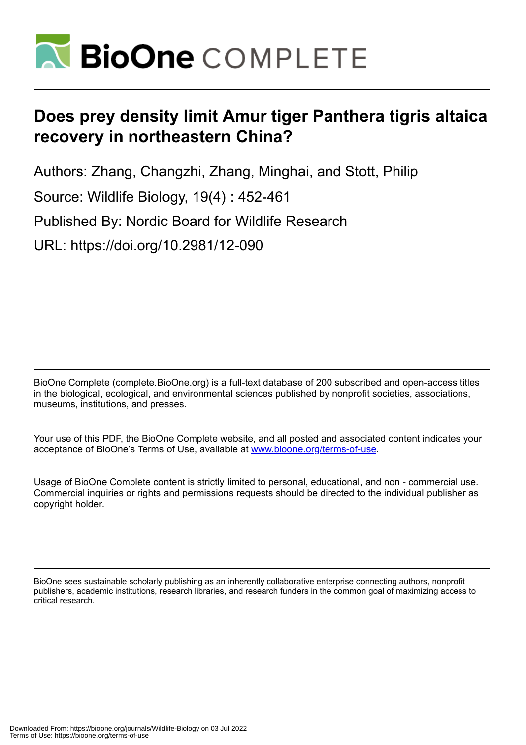

# **Does prey density limit Amur tiger Panthera tigris altaica recovery in northeastern China?**

Authors: Zhang, Changzhi, Zhang, Minghai, and Stott, Philip

Source: Wildlife Biology, 19(4) : 452-461

Published By: Nordic Board for Wildlife Research

URL: https://doi.org/10.2981/12-090

BioOne Complete (complete.BioOne.org) is a full-text database of 200 subscribed and open-access titles in the biological, ecological, and environmental sciences published by nonprofit societies, associations, museums, institutions, and presses.

Your use of this PDF, the BioOne Complete website, and all posted and associated content indicates your acceptance of BioOne's Terms of Use, available at www.bioone.org/terms-of-use.

Usage of BioOne Complete content is strictly limited to personal, educational, and non - commercial use. Commercial inquiries or rights and permissions requests should be directed to the individual publisher as copyright holder.

BioOne sees sustainable scholarly publishing as an inherently collaborative enterprise connecting authors, nonprofit publishers, academic institutions, research libraries, and research funders in the common goal of maximizing access to critical research.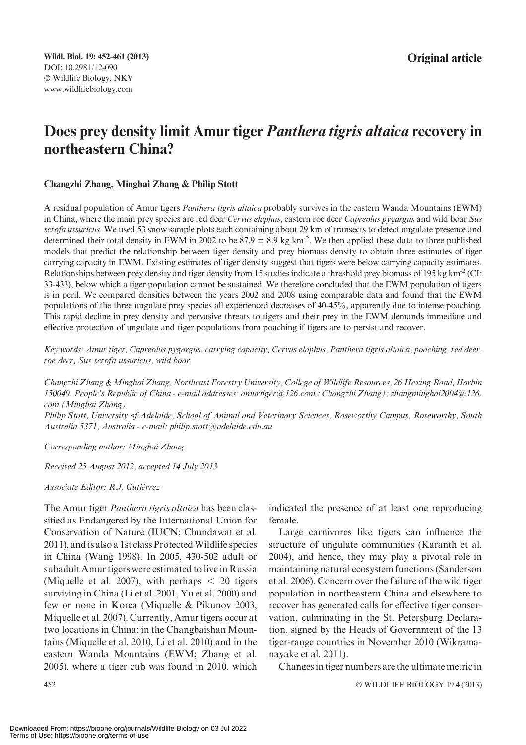## Does prey density limit Amur tiger Panthera tigris altaica recovery in northeastern China?

#### Changzhi Zhang, Minghai Zhang & Philip Stott

A residual population of Amur tigers Panthera tigris altaica probably survives in the eastern Wanda Mountains (EWM) in China, where the main prey species are red deer Cervus elaphus, eastern roe deer Capreolus pygargus and wild boar Sus scrofa ussuricus. We used 53 snow sample plots each containing about 29 km of transects to detect ungulate presence and determined their total density in EWM in 2002 to be 87.9  $\pm$  8.9 kg km<sup>-2</sup>. We then applied these data to three published models that predict the relationship between tiger density and prey biomass density to obtain three estimates of tiger carrying capacity in EWM. Existing estimates of tiger density suggest that tigers were below carrying capacity estimates. Relationships between prey density and tiger density from 15 studies indicate a threshold prey biomass of 195 kg km<sup>-2</sup> (CI: 33-433), below which a tiger population cannot be sustained. We therefore concluded that the EWM population of tigers is in peril. We compared densities between the years 2002 and 2008 using comparable data and found that the EWM populations of the three ungulate prey species all experienced decreases of 40-45%, apparently due to intense poaching. This rapid decline in prey density and pervasive threats to tigers and their prey in the EWM demands immediate and effective protection of ungulate and tiger populations from poaching if tigers are to persist and recover.

Key words: Amur tiger, Capreolus pygargus, carrying capacity, Cervus elaphus, Panthera tigris altaica, poaching, red deer, roe deer, Sus scrofa ussuricus, wild boar

Changzhi Zhang & Minghai Zhang, Northeast Forestry University, College of Wildlife Resources, 26 Hexing Road, Harbin 150040, People's Republic of China - e-mail addresses: amurtiger@126.com (Changzhi Zhang); zhangminghai2004@126. com (Minghai Zhang)

Philip Stott, University of Adelaide, School of Animal and Veterinary Sciences, Roseworthy Campus, Roseworthy, South Australia 5371, Australia - e-mail: philip.stott@adelaide.edu.au

Corresponding author: Minghai Zhang

Received 25 August 2012, accepted 14 July 2013

Associate Editor: R.J. Gutiérrez

The Amur tiger *Panthera tigris altaica* has been classified as Endangered by the International Union for Conservation of Nature (IUCN; Chundawat et al. 2011), and is also a 1st class Protected Wildlife species in China (Wang 1998). In 2005, 430-502 adult or subadult Amur tigers were estimated to live in Russia (Miquelle et al. 2007), with perhaps  $\lt$  20 tigers surviving in China (Li et al. 2001, Yu et al. 2000) and few or none in Korea (Miquelle & Pikunov 2003, Miquelle et al. 2007). Currently, Amur tigers occur at two locations in China: in the Changbaishan Mountains (Miquelle et al. 2010, Li et al. 2010) and in the eastern Wanda Mountains (EWM; Zhang et al. 2005), where a tiger cub was found in 2010, which

indicated the presence of at least one reproducing female.

Large carnivores like tigers can influence the structure of ungulate communities (Karanth et al. 2004), and hence, they may play a pivotal role in maintaining natural ecosystem functions (Sanderson et al. 2006). Concern over the failure of the wild tiger population in northeastern China and elsewhere to recover has generated calls for effective tiger conservation, culminating in the St. Petersburg Declaration, signed by the Heads of Government of the 13 tiger-range countries in November 2010 (Wikramanayake et al. 2011).

Changes in tiger numbers are the ultimate metric in

 $452$   $\circ$ WILDLIFE BIOLOGY 19:4 (2013)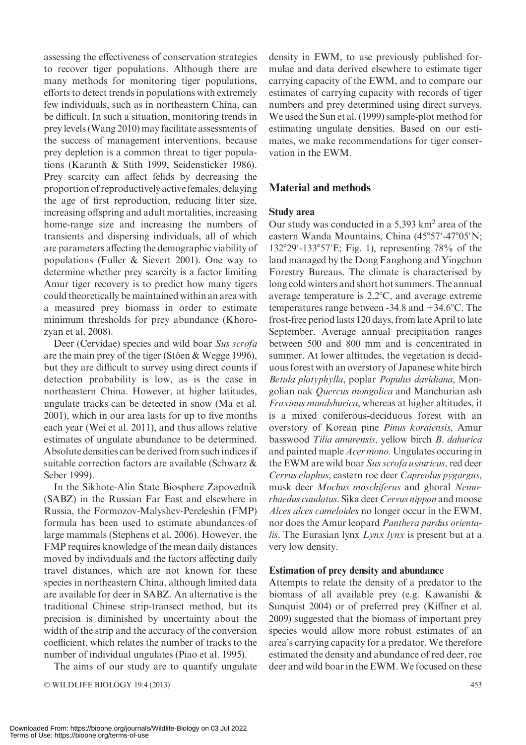assessing the effectiveness of conservation strategies to recover tiger populations. Although there are many methods for monitoring tiger populations, efforts to detect trends in populations with extremely few individuals, such as in northeastern China, can be difficult. In such a situation, monitoring trends in prey levels (Wang 2010) may facilitate assessments of the success of management interventions, because prey depletion is a common threat to tiger populations (Karanth & Stith 1999, Seidensticker 1986). Prey scarcity can affect felids by decreasing the proportion of reproductively active females, delaying the age of first reproduction, reducing litter size, increasing offspring and adult mortalities, increasing home-range size and increasing the numbers of transients and dispersing individuals, all of which are parameters affecting the demographic viability of populations (Fuller & Sievert 2001). One way to determine whether prey scarcity is a factor limiting Amur tiger recovery is to predict how many tigers could theoretically be maintained within an area with a measured prey biomass in order to estimate minimum thresholds for prey abundance (Khorozyan et al. 2008).

Deer (Cervidae) species and wild boar Sus scrofa are the main prey of the tiger (Stöen  $&$  Wegge 1996), but they are difficult to survey using direct counts if detection probability is low, as is the case in northeastern China. However, at higher latitudes, ungulate tracks can be detected in snow (Ma et al. 2001), which in our area lasts for up to five months each year (Wei et al. 2011), and thus allows relative estimates of ungulate abundance to be determined. Absolute densities can be derived from such indices if suitable correction factors are available (Schwarz & Seber 1999).

In the Sikhote-Alin State Biosphere Zapovednik (SABZ) in the Russian Far East and elsewhere in Russia, the Formozov-Malyshev-Pereleshin (FMP) formula has been used to estimate abundances of large mammals (Stephens et al. 2006). However, the FMP requires knowledge of the mean daily distances moved by individuals and the factors affecting daily travel distances, which are not known for these species in northeastern China, although limited data are available for deer in SABZ. An alternative is the traditional Chinese strip-transect method, but its precision is diminished by uncertainty about the width of the strip and the accuracy of the conversion coefficient, which relates the number of tracks to the number of individual ungulates (Piao et al. 1995).

The aims of our study are to quantify ungulate

© WILDLIFE BIOLOGY 19:4 (2013) 453

density in EWM, to use previously published formulae and data derived elsewhere to estimate tiger carrying capacity of the EWM, and to compare our estimates of carrying capacity with records of tiger numbers and prey determined using direct surveys. We used the Sun et al. (1999) sample-plot method for estimating ungulate densities. Based on our estimates, we make recommendations for tiger conservation in the EWM.

## Material and methods

#### Study area

Our study was conducted in a 5,393 km2 area of the eastern Wanda Mountains, China (45°57'-47°05'N;  $132^{\circ}29' - 133^{\circ}57'E$ ; Fig. 1), representing 78% of the land managed by the Dong Fanghong and Yingchun Forestry Bureaus. The climate is characterised by long cold winters and short hot summers. The annual average temperature is  $2.2^{\circ}$ C, and average extreme temperatures range between  $-34.8$  and  $+34.6$ °C. The frost-free period lasts 120 days, from late April to late September. Average annual precipitation ranges between 500 and 800 mm and is concentrated in summer. At lower altitudes, the vegetation is deciduous forest with an overstory of Japanese white birch Betula platyphylla, poplar Populus davidiana, Mongolian oak Quercus mongolica and Manchurian ash Fraxinus mandshurica, whereas at higher altitudes, it is a mixed coniferous-deciduous forest with an overstory of Korean pine Pinus koraiensis, Amur basswood Tilia amurensis, yellow birch B. dahurica and painted maple Acer mono. Ungulates occuring in the EWM are wild boar Sus scrofa ussuricus, red deer Cervus elaphus, eastern roe deer Capreolus pygargus, musk deer Mochus moschiferus and ghoral Nemorhaedus caudatus. Sika deer Cervus nippon and moose Alces alces cameloides no longer occur in the EWM, nor does the Amur leopard Panthera pardus orientalis. The Eurasian lynx  $Lynx$  lynx is present but at a very low density.

#### Estimation of prey density and abundance

Attempts to relate the density of a predator to the biomass of all available prey (e.g. Kawanishi & Sunquist 2004) or of preferred prey (Kiffner et al. 2009) suggested that the biomass of important prey species would allow more robust estimates of an area's carrying capacity for a predator. We therefore estimated the density and abundance of red deer, roe deer and wild boar in the EWM.We focused on these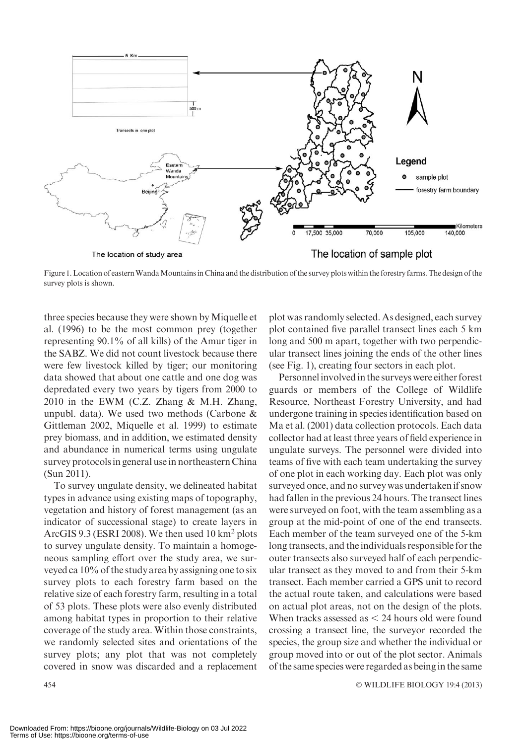

Figure 1.Location of easternWandaMountains in China and the distribution of the survey plots within the forestry farms. The design of the survey plots is shown.

three species because they were shown by Miquelle et al. (1996) to be the most common prey (together representing 90.1% of all kills) of the Amur tiger in the SABZ. We did not count livestock because there were few livestock killed by tiger; our monitoring data showed that about one cattle and one dog was depredated every two years by tigers from 2000 to 2010 in the EWM (C.Z. Zhang & M.H. Zhang, unpubl. data). We used two methods (Carbone & Gittleman 2002, Miquelle et al. 1999) to estimate prey biomass, and in addition, we estimated density and abundance in numerical terms using ungulate survey protocols in general use in northeastern China (Sun 2011).

To survey ungulate density, we delineated habitat types in advance using existing maps of topography, vegetation and history of forest management (as an indicator of successional stage) to create layers in ArcGIS 9.3 (ESRI 2008). We then used 10 km<sup>2</sup> plots to survey ungulate density. To maintain a homogeneous sampling effort over the study area, we surveyed ca 10% of the study area by assigning one to six survey plots to each forestry farm based on the relative size of each forestry farm, resulting in a total of 53 plots. These plots were also evenly distributed among habitat types in proportion to their relative coverage of the study area. Within those constraints, we randomly selected sites and orientations of the survey plots; any plot that was not completely covered in snow was discarded and a replacement

plot was randomly selected. As designed, each survey plot contained five parallel transect lines each 5 km long and 500 m apart, together with two perpendicular transect lines joining the ends of the other lines (see Fig. 1), creating four sectors in each plot.

Personnel involved in the surveys were either forest guards or members of the College of Wildlife Resource, Northeast Forestry University, and had undergone training in species identification based on Ma et al. (2001) data collection protocols. Each data collector had at least three years of field experience in ungulate surveys. The personnel were divided into teams of five with each team undertaking the survey of one plot in each working day. Each plot was only surveyed once, and no survey was undertaken if snow had fallen in the previous 24 hours. The transect lines were surveyed on foot, with the team assembling as a group at the mid-point of one of the end transects. Each member of the team surveyed one of the 5-km long transects, and the individuals responsible for the outer transects also surveyed half of each perpendicular transect as they moved to and from their 5-km transect. Each member carried a GPS unit to record the actual route taken, and calculations were based on actual plot areas, not on the design of the plots. When tracks assessed as  $\leq$  24 hours old were found crossing a transect line, the surveyor recorded the species, the group size and whether the individual or group moved into or out of the plot sector. Animals of the same species were regarded as being in the same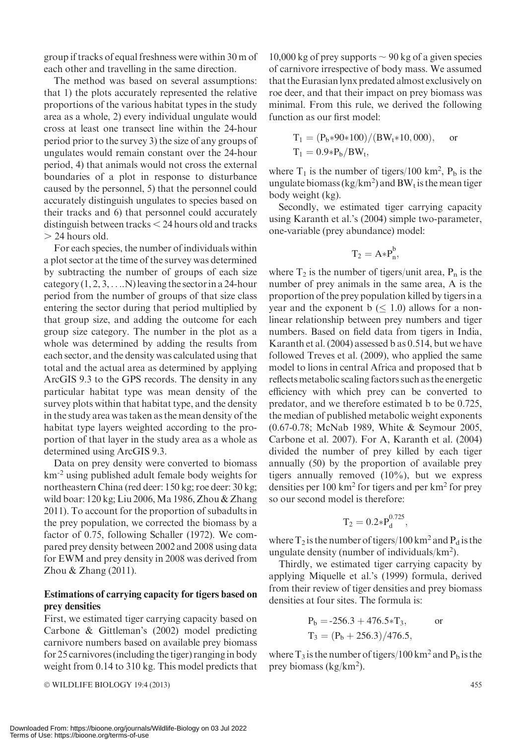group if tracks of equal freshness were within 30 m of each other and travelling in the same direction.

The method was based on several assumptions: that 1) the plots accurately represented the relative proportions of the various habitat types in the study area as a whole, 2) every individual ungulate would cross at least one transect line within the 24-hour period prior to the survey 3) the size of any groups of ungulates would remain constant over the 24-hour period, 4) that animals would not cross the external boundaries of a plot in response to disturbance caused by the personnel, 5) that the personnel could accurately distinguish ungulates to species based on their tracks and 6) that personnel could accurately distinguish between tracks  $<$  24 hours old and tracks  $> 24$  hours old.

For each species, the number of individuals within a plot sector at the time of the survey was determined by subtracting the number of groups of each size category  $(1, 2, 3, \ldots N)$  leaving the sector in a 24-hour period from the number of groups of that size class entering the sector during that period multiplied by that group size, and adding the outcome for each group size category. The number in the plot as a whole was determined by adding the results from each sector, and the density was calculated using that total and the actual area as determined by applying ArcGIS 9.3 to the GPS records. The density in any particular habitat type was mean density of the survey plots within that habitat type, and the density in the study area was taken as the mean density of the habitat type layers weighted according to the proportion of that layer in the study area as a whole as determined using ArcGIS 9.3.

Data on prey density were converted to biomass km-2 using published adult female body weights for northeastern China (red deer: 150 kg; roe deer: 30 kg; wild boar: 120 kg; Liu 2006,Ma 1986, Zhou & Zhang 2011). To account for the proportion of subadults in the prey population, we corrected the biomass by a factor of 0.75, following Schaller (1972). We compared prey density between 2002 and 2008 using data for EWM and prey density in 2008 was derived from Zhou & Zhang (2011).

## Estimations of carrying capacity for tigers based on prey densities

First, we estimated tiger carrying capacity based on Carbone & Gittleman's (2002) model predicting carnivore numbers based on available prey biomass for 25 carnivores (including the tiger) ranging in body weight from 0.14 to 310 kg. This model predicts that

© WILDLIFE BIOLOGY 19:4 (2013) 455

10,000 kg of prey supports  $\sim$  90 kg of a given species of carnivore irrespective of body mass. We assumed that the Eurasian lynx predated almost exclusively on roe deer, and that their impact on prey biomass was minimal. From this rule, we derived the following function as our first model:

$$
\begin{aligned} T_1&=(P_b{*90*100})/(BW_t{*10,000}),\quad \text{ or}\\ T_1&=0.9{*}P_b/BW_t, \end{aligned}
$$

where  $T_1$  is the number of tigers/100 km<sup>2</sup>,  $P_b$  is the ungulate biomass (kg/km<sup>2</sup>) and  $BW_t$  is the mean tiger body weight (kg).

Secondly, we estimated tiger carrying capacity using Karanth et al.'s (2004) simple two-parameter, one-variable (prey abundance) model:

$$
T_2 = A * P_n^b,
$$

where  $T_2$  is the number of tigers/unit area,  $P_n$  is the number of prey animals in the same area, A is the proportion of the prey population killed by tigers in a year and the exponent  $b \leq 1.0$ ) allows for a nonlinear relationship between prey numbers and tiger numbers. Based on field data from tigers in India, Karanth et al. (2004) assessed b as 0.514, but we have followed Treves et al. (2009), who applied the same model to lions in central Africa and proposed that b reflects metabolic scaling factors such as the energetic efficiency with which prey can be converted to predator, and we therefore estimated b to be 0.725, the median of published metabolic weight exponents (0.67-0.78; McNab 1989, White & Seymour 2005, Carbone et al. 2007). For A, Karanth et al. (2004) divided the number of prey killed by each tiger annually (50) by the proportion of available prey tigers annually removed (10%), but we express densities per 100 km<sup>2</sup> for tigers and per km<sup>2</sup> for prey so our second model is therefore:

$$
T_2=0.2\!\ast\! P_d^{0.725},
$$

where  $T_2$  is the number of tigers/100 km<sup>2</sup> and P<sub>d</sub> is the ungulate density (number of individuals/km<sup>2</sup>).

Thirdly, we estimated tiger carrying capacity by applying Miquelle et al.'s (1999) formula, derived from their review of tiger densities and prey biomass densities at four sites. The formula is:

$$
P_b = -256.3 + 476.5 \times T_3, \text{ or}
$$
  
\n
$$
T_3 = (P_b + 256.3)/476.5,
$$

where  $T_3$  is the number of tigers/100 km<sup>2</sup> and  $P_b$  is the prey biomass (kg/km<sup>2</sup>).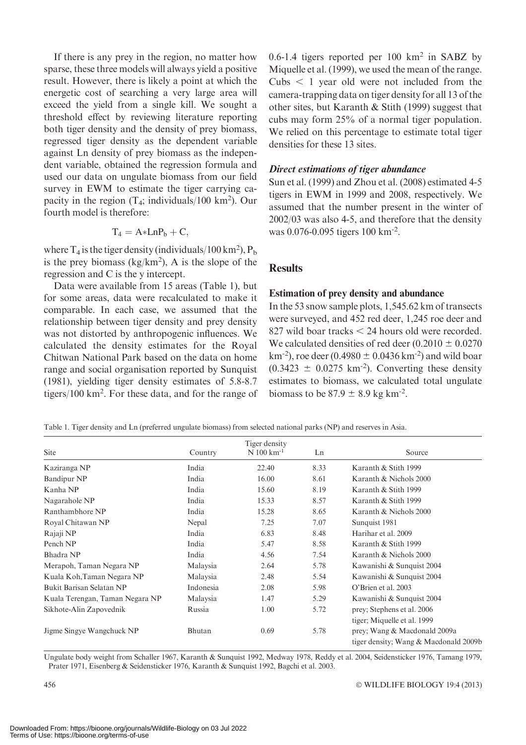If there is any prey in the region, no matter how sparse, these three models will always yield a positive result. However, there is likely a point at which the energetic cost of searching a very large area will exceed the yield from a single kill. We sought a threshold effect by reviewing literature reporting both tiger density and the density of prey biomass, regressed tiger density as the dependent variable against Ln density of prey biomass as the independent variable, obtained the regression formula and used our data on ungulate biomass from our field survey in EWM to estimate the tiger carrying capacity in the region  $(T_4$ ; individuals/100 km<sup>2</sup>). Our fourth model is therefore:

$$
T_4 = A * LnP_b + C,
$$

where  $T_4$  is the tiger density (individuals/100 km<sup>2</sup>),  $P_b$ is the prey biomass  $(kg/km^2)$ , A is the slope of the regression and C is the y intercept.

Data were available from 15 areas (Table 1), but for some areas, data were recalculated to make it comparable. In each case, we assumed that the relationship between tiger density and prey density was not distorted by anthropogenic influences. We calculated the density estimates for the Royal Chitwan National Park based on the data on home range and social organisation reported by Sunquist (1981), yielding tiger density estimates of 5.8-8.7 tigers/100 km2 . For these data, and for the range of

0.6-1.4 tigers reported per 100 km2 in SABZ by Miquelle et al. (1999), we used the mean of the range. Cubs  $\lt$  1 year old were not included from the camera-trapping data on tiger density for all 13 of the other sites, but Karanth & Stith (1999) suggest that cubs may form 25% of a normal tiger population. We relied on this percentage to estimate total tiger densities for these 13 sites.

#### Direct estimations of tiger abundance

Sun et al. (1999) and Zhou et al. (2008) estimated 4-5 tigers in EWM in 1999 and 2008, respectively. We assumed that the number present in the winter of 2002/03 was also 4-5, and therefore that the density was 0.076-0.095 tigers 100 km-2.

## **Results**

#### Estimation of prey density and abundance

In the 53 snow sample plots, 1,545.62 km of transects were surveyed, and 452 red deer, 1,245 roe deer and 827 wild boar tracks  $\leq$  24 hours old were recorded. We calculated densities of red deer  $(0.2010 \pm 0.0270$ km<sup>-2</sup>), roe deer (0.4980  $\pm$  0.0436 km<sup>-2</sup>) and wild boar  $(0.3423 \pm 0.0275 \text{ km}^2)$ . Converting these density estimates to biomass, we calculated total ungulate biomass to be  $87.9 \pm 8.9$  kg km<sup>-2</sup>.

Table 1. Tiger density and Ln (preferred ungulate biomass) from selected national parks (NP) and reserves in Asia.

| Site                            | Country   | Tiger density<br>$N$ 100 km <sup>-1</sup> | Ln   | Source                                |
|---------------------------------|-----------|-------------------------------------------|------|---------------------------------------|
| Kaziranga NP                    | India     | 22.40                                     | 8.33 | Karanth & Stith 1999                  |
| Bandipur NP                     | India     | 16.00                                     | 8.61 | Karanth & Nichols 2000                |
| Kanha NP                        | India     | 15.60                                     | 8.19 | Karanth & Stith 1999                  |
| Nagarahole NP                   | India     | 15.33                                     | 8.57 | Karanth & Stith 1999                  |
| Ranthambhore NP                 | India     | 15.28                                     | 8.65 | Karanth & Nichols 2000                |
| Royal Chitawan NP               | Nepal     | 7.25                                      | 7.07 | Sunquist 1981                         |
| Rajaji NP                       | India     | 6.83                                      | 8.48 | Harihar et al. 2009                   |
| Pench NP                        | India     | 5.47                                      | 8.58 | Karanth & Stith 1999                  |
| Bhadra NP                       | India     | 4.56                                      | 7.54 | Karanth & Nichols 2000                |
| Merapoh, Taman Negara NP        | Malaysia  | 2.64                                      | 5.78 | Kawanishi & Sunquist 2004             |
| Kuala Koh, Taman Negara NP      | Malaysia  | 2.48                                      | 5.54 | Kawanishi & Sunquist 2004             |
| Bukit Barisan Selatan NP        | Indonesia | 2.08                                      | 5.98 | O'Brien et al. 2003                   |
| Kuala Terengan, Taman Negara NP | Malaysia  | 1.47                                      | 5.29 | Kawanishi & Sunquist 2004             |
| Sikhote-Alin Zapovednik         | Russia    | 1.00                                      | 5.72 | prey; Stephens et al. 2006            |
|                                 |           |                                           |      | tiger; Miquelle et al. 1999           |
| Jigme Singye Wangchuck NP       | Bhutan    | 0.69                                      | 5.78 | prey; Wang & Macdonald 2009a          |
|                                 |           |                                           |      | tiger density; Wang & Macdonald 2009b |

Ungulate body weight from Schaller 1967, Karanth & Sunquist 1992, Medway 1978, Reddy et al. 2004, Seidensticker 1976, Tamang 1979, Prater 1971, Eisenberg & Seidensticker 1976, Karanth & Sunquist 1992, Bagchi et al. 2003.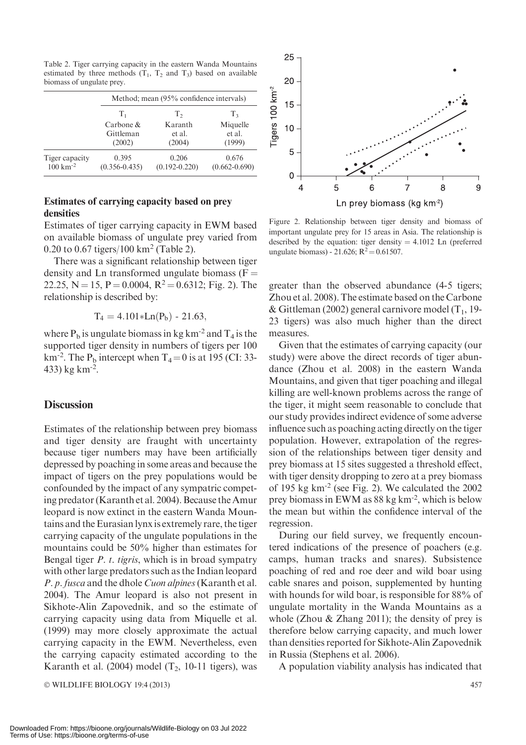|                       |                   | Method; mean (95% confidence intervals) |                   |  |  |  |  |
|-----------------------|-------------------|-----------------------------------------|-------------------|--|--|--|--|
|                       | $T_1$             | $T_{2}$                                 | T <sub>3</sub>    |  |  |  |  |
|                       | Carbone $\&$      | Karanth                                 | Miquelle          |  |  |  |  |
|                       | Gittleman         | et al.                                  | et al.            |  |  |  |  |
|                       | (2002)            | (2004)                                  | (1999)            |  |  |  |  |
| Tiger capacity        | 0.395             | 0.206                                   | 0.676             |  |  |  |  |
| $100 \text{ km}^{-2}$ | $(0.356 - 0.435)$ | $(0.192 - 0.220)$                       | $(0.662 - 0.690)$ |  |  |  |  |

Table 2. Tiger carrying capacity in the eastern Wanda Mountains estimated by three methods  $(T_1, T_2 \text{ and } T_3)$  based on available biomass of ungulate prey.

## Estimates of carrying capacity based on prey densities

Estimates of tiger carrying capacity in EWM based on available biomass of ungulate prey varied from 0.20 to 0.67 tigers/100 km2 (Table 2).

There was a significant relationship between tiger density and Ln transformed ungulate biomass  $(F =$ 22.25, N = 15, P = 0.0004, R<sup>2</sup> = 0.6312; Fig. 2). The relationship is described by:

$$
T_4 = 4.101 * Ln(P_b) - 21.63,
$$

where  $P_b$  is ungulate biomass in kg km<sup>-2</sup> and  $T_4$  is the supported tiger density in numbers of tigers per 100 km<sup>-2</sup>. The P<sub>b</sub> intercept when  $T_4 = 0$  is at 195 (CI: 33-433) kg km-2.

#### **Discussion**

Estimates of the relationship between prey biomass and tiger density are fraught with uncertainty because tiger numbers may have been artificially depressed by poaching in some areas and because the impact of tigers on the prey populations would be confounded by the impact of any sympatric competing predator (Karanth et al. 2004). Because the Amur leopard is now extinct in the eastern Wanda Mountains and the Eurasian lynx is extremely rare, the tiger carrying capacity of the ungulate populations in the mountains could be 50% higher than estimates for Bengal tiger  $P$ .  $t$ . tigris, which is in broad sympatry with other large predators such as the Indian leopard P. p. fusca and the dhole Cuon alpines(Karanth et al. 2004). The Amur leopard is also not present in Sikhote-Alin Zapovednik, and so the estimate of carrying capacity using data from Miquelle et al. (1999) may more closely approximate the actual carrying capacity in the EWM. Nevertheless, even the carrying capacity estimated according to the Karanth et al. (2004) model  $(T_2, 10-11)$  tigers), was



Figure 2. Relationship between tiger density and biomass of important ungulate prey for 15 areas in Asia. The relationship is described by the equation: tiger density  $= 4.1012$  Ln (preferred ungulate biomass) - 21.626;  $R^2 = 0.61507$ .

greater than the observed abundance (4-5 tigers; Zhou et al. 2008). The estimate based on the Carbone & Gittleman (2002) general carnivore model  $(T_1, 19$ -23 tigers) was also much higher than the direct measures.

Given that the estimates of carrying capacity (our study) were above the direct records of tiger abundance (Zhou et al. 2008) in the eastern Wanda Mountains, and given that tiger poaching and illegal killing are well-known problems across the range of the tiger, it might seem reasonable to conclude that our study provides indirect evidence of some adverse influence such as poaching acting directly on the tiger population. However, extrapolation of the regression of the relationships between tiger density and prey biomass at 15 sites suggested a threshold effect, with tiger density dropping to zero at a prey biomass of 195 kg km-2 (see Fig. 2). We calculated the 2002 prey biomass in EWM as 88 kg km-2, which is below the mean but within the confidence interval of the regression.

During our field survey, we frequently encountered indications of the presence of poachers (e.g. camps, human tracks and snares). Subsistence poaching of red and roe deer and wild boar using cable snares and poison, supplemented by hunting with hounds for wild boar, is responsible for 88% of ungulate mortality in the Wanda Mountains as a whole (Zhou  $&$  Zhang 2011); the density of prey is therefore below carrying capacity, and much lower than densities reported for Sikhote-Alin Zapovednik in Russia (Stephens et al. 2006).

A population viability analysis has indicated that

© WILDLIFE BIOLOGY 19:4 (2013) 457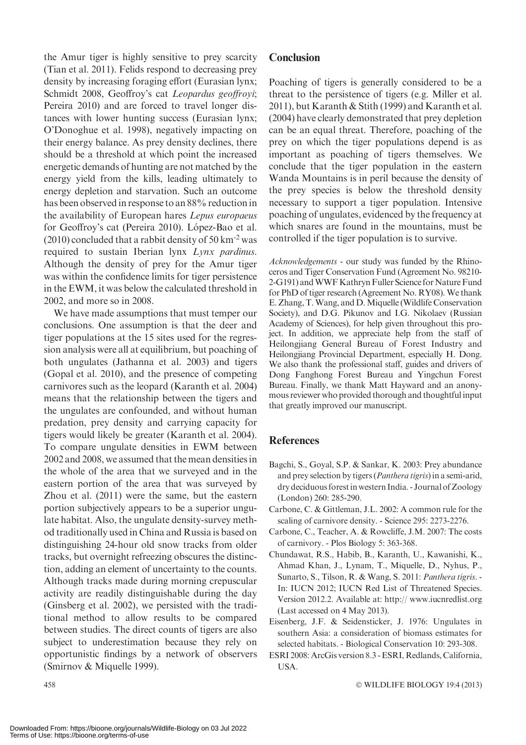the Amur tiger is highly sensitive to prey scarcity (Tian et al. 2011). Felids respond to decreasing prey density by increasing foraging effort (Eurasian lynx; Schmidt 2008, Geoffroy's cat Leopardus geoffroyi; Pereira 2010) and are forced to travel longer distances with lower hunting success (Eurasian lynx; O'Donoghue et al. 1998), negatively impacting on their energy balance. As prey density declines, there should be a threshold at which point the increased energetic demands of hunting are not matched by the energy yield from the kills, leading ultimately to energy depletion and starvation. Such an outcome has been observed in response to an 88% reduction in the availability of European hares Lepus europaeus for Geoffroy's cat (Pereira 2010). López-Bao et al.  $(2010)$  concluded that a rabbit density of 50 km<sup>-2</sup> was required to sustain Iberian lynx Lynx pardinus. Although the density of prey for the Amur tiger was within the confidence limits for tiger persistence in the EWM, it was below the calculated threshold in 2002, and more so in 2008.

We have made assumptions that must temper our conclusions. One assumption is that the deer and tiger populations at the 15 sites used for the regression analysis were all at equilibrium, but poaching of both ungulates (Jathanna et al. 2003) and tigers (Gopal et al. 2010), and the presence of competing carnivores such as the leopard (Karanth et al. 2004) means that the relationship between the tigers and the ungulates are confounded, and without human predation, prey density and carrying capacity for tigers would likely be greater (Karanth et al. 2004). To compare ungulate densities in EWM between 2002 and 2008, we assumed that the mean densities in the whole of the area that we surveyed and in the eastern portion of the area that was surveyed by Zhou et al. (2011) were the same, but the eastern portion subjectively appears to be a superior ungulate habitat. Also, the ungulate density-survey method traditionally used in China and Russia is based on distinguishing 24-hour old snow tracks from older tracks, but overnight refreezing obscures the distinction, adding an element of uncertainty to the counts. Although tracks made during morning crepuscular activity are readily distinguishable during the day (Ginsberg et al. 2002), we persisted with the traditional method to allow results to be compared between studies. The direct counts of tigers are also subject to underestimation because they rely on opportunistic findings by a network of observers (Smirnov & Miquelle 1999).

## **Conclusion**

Poaching of tigers is generally considered to be a threat to the persistence of tigers (e.g. Miller et al. 2011), but Karanth & Stith (1999) and Karanth et al. (2004) have clearly demonstrated that prey depletion can be an equal threat. Therefore, poaching of the prey on which the tiger populations depend is as important as poaching of tigers themselves. We conclude that the tiger population in the eastern Wanda Mountains is in peril because the density of the prey species is below the threshold density necessary to support a tiger population. Intensive poaching of ungulates, evidenced by the frequency at which snares are found in the mountains, must be controlled if the tiger population is to survive.

Acknowledgements - our study was funded by the Rhinoceros and Tiger Conservation Fund (Agreement No. 98210- 2-G191) andWWF Kathryn Fuller Science for Nature Fund for PhD of tiger research (Agreement No. RY08). We thank E. Zhang, T.Wang, and D.Miquelle (Wildlife Conservation Society), and D.G. Pikunov and I.G. Nikolaev (Russian Academy of Sciences), for help given throughout this project. In addition, we appreciate help from the staff of Heilongjiang General Bureau of Forest Industry and Heilongjiang Provincial Department, especially H. Dong. We also thank the professional staff, guides and drivers of Dong Fanghong Forest Bureau and Yingchun Forest Bureau. Finally, we thank Matt Hayward and an anonymous reviewer who provided thorough and thoughtful input that greatly improved our manuscript.

## References

- Bagchi, S., Goyal, S.P. & Sankar, K. 2003: Prey abundance and prey selection by tigers (Panthera tigris) in a semi-arid, dry deciduous forest in western India. - Journal of Zoology (London) 260: 285-290.
- Carbone, C. & Gittleman, J.L. 2002: A common rule for the scaling of carnivore density. - Science 295: 2273-2276.
- Carbone, C., Teacher, A. & Rowcliffe, J.M. 2007: The costs of carnivory. - Plos Biology 5: 363-368.
- Chundawat, R.S., Habib, B., Karanth, U., Kawanishi, K., Ahmad Khan, J., Lynam, T., Miquelle, D., Nyhus, P., Sunarto, S., Tilson, R. & Wang, S. 2011: Panthera tigris. - In: IUCN 2012; IUCN Red List of Threatened Species. Version 2012.2. Available at: http:// www.iucnredlist.org (Last accessed on 4 May 2013).
- Eisenberg, J.F. & Seidensticker, J. 1976: Ungulates in southern Asia: a consideration of biomass estimates for selected habitats. - Biological Conservation 10: 293-308.
- ESRI 2008: ArcGis version 8.3 ESRI, Redlands, California, USA.

 $458$   $\circ$ WILDLIFE BIOLOGY 19:4 (2013)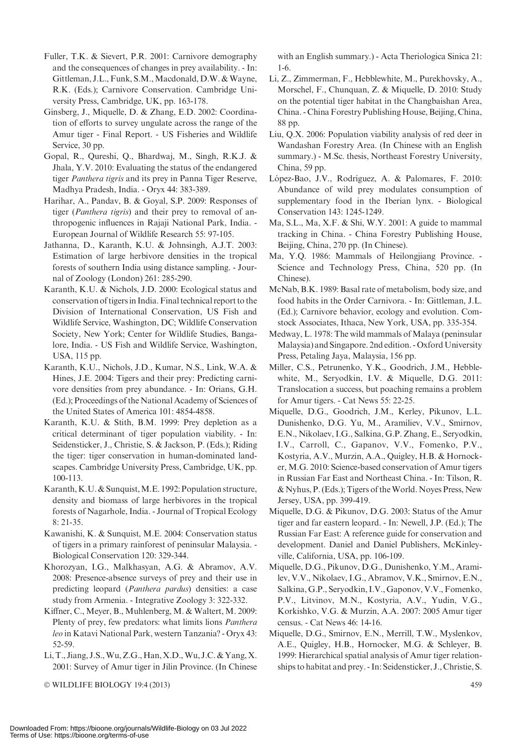- Fuller, T.K. & Sievert, P.R. 2001: Carnivore demography and the consequences of changes in prey availability. - In: Gittleman, J.L., Funk, S.M., Macdonald, D.W. & Wayne, R.K. (Eds.); Carnivore Conservation. Cambridge University Press, Cambridge, UK, pp. 163-178.
- Ginsberg, J., Miquelle, D. & Zhang, E.D. 2002: Coordination of efforts to survey ungulate across the range of the Amur tiger - Final Report. - US Fisheries and Wildlife Service, 30 pp.
- Gopal, R., Qureshi, Q., Bhardwaj, M., Singh, R.K.J. & Jhala, Y.V. 2010: Evaluating the status of the endangered tiger Panthera tigris and its prey in Panna Tiger Reserve, Madhya Pradesh, India. - Oryx 44: 383-389.
- Harihar, A., Pandav, B. & Goyal, S.P. 2009: Responses of tiger (Panthera tigris) and their prey to removal of anthropogenic influences in Rajaji National Park, India. - European Journal of Wildlife Research 55: 97-105.
- Jathanna, D., Karanth, K.U. & Johnsingh, A.J.T. 2003: Estimation of large herbivore densities in the tropical forests of southern India using distance sampling. - Journal of Zoology (London) 261: 285-290.
- Karanth, K.U. & Nichols, J.D. 2000: Ecological status and conservation of tigersin India. Final technical report to the Division of International Conservation, US Fish and Wildlife Service, Washington, DC; Wildlife Conservation Society, New York; Center for Wildlife Studies, Bangalore, India. - US Fish and Wildlife Service, Washington, USA, 115 pp.
- Karanth, K.U., Nichols, J.D., Kumar, N.S., Link, W.A. & Hines, J.E. 2004: Tigers and their prey: Predicting carnivore densities from prey abundance. - In: Orians, G.H. (Ed.); Proceedings of the National Academy of Sciences of the United States of America 101: 4854-4858.
- Karanth, K.U. & Stith, B.M. 1999: Prey depletion as a critical determinant of tiger population viability. - In: Seidensticker, J., Christie, S. & Jackson, P. (Eds.); Riding the tiger: tiger conservation in human-dominated landscapes. Cambridge University Press, Cambridge, UK, pp. 100-113.
- Karanth,K.U. & Sunquist,M.E. 1992: Population structure, density and biomass of large herbivores in the tropical forests of Nagarhole, India. - Journal of Tropical Ecology 8: 21-35.
- Kawanishi, K. & Sunquist, M.E. 2004: Conservation status of tigers in a primary rainforest of peninsular Malaysia. - Biological Conservation 120: 329-344.
- Khorozyan, I.G., Malkhasyan, A.G. & Abramov, A.V. 2008: Presence-absence surveys of prey and their use in predicting leopard (Panthera pardus) densities: a case study from Armenia. - Integrative Zoology 3: 322-332.
- Kiffner, C., Meyer, B., Muhlenberg, M. & Waltert, M. 2009: Plenty of prey, few predators: what limits lions *Panthera* leo in Katavi National Park, western Tanzania? - Oryx 43: 52-59.
- Li, T., Jiang, J.S.,Wu, Z.G., Han, X.D.,Wu, J.C. & Yang, X. 2001: Survey of Amur tiger in Jilin Province. (In Chinese

© WILDLIFE BIOLOGY 19:4 (2013) 459

with an English summary.) - Acta Theriologica Sinica 21: 1-6.

- Li, Z., Zimmerman, F., Hebblewhite, M., Purekhovsky, A., Morschel, F., Chunquan, Z. & Miquelle, D. 2010: Study on the potential tiger habitat in the Changbaishan Area, China. - China Forestry Publishing House, Beijing, China, 88 pp.
- Liu, Q.X. 2006: Population viability analysis of red deer in Wandashan Forestry Area. (In Chinese with an English summary.) - M.Sc. thesis, Northeast Forestry University, China, 59 pp.
- López-Bao, J.V., Rodríguez, A. & Palomares, F. 2010: Abundance of wild prey modulates consumption of supplementary food in the Iberian lynx. - Biological Conservation 143: 1245-1249.
- Ma, S.L., Ma, X.F. & Shi, W.Y. 2001: A guide to mammal tracking in China. - China Forestry Publishing House, Beijing, China, 270 pp. (In Chinese).
- Ma, Y.Q. 1986: Mammals of Heilongjiang Province. Science and Technology Press, China, 520 pp. (In Chinese).
- McNab, B.K. 1989: Basal rate of metabolism, body size, and food habits in the Order Carnivora. - In: Gittleman, J.L. (Ed.); Carnivore behavior, ecology and evolution. Comstock Associates, Ithaca, New York, USA, pp. 335-354.
- Medway, L. 1978: The wild mammals of Malaya (peninsular Malaysia) and Singapore. 2nd edition. - Oxford University Press, Petaling Jaya, Malaysia, 156 pp.
- Miller, C.S., Petrunenko, Y.K., Goodrich, J.M., Hebblewhite, M., Seryodkin, I.V. & Miquelle, D.G. 2011: Translocation a success, but poaching remains a problem for Amur tigers. - Cat News 55: 22-25.
- Miquelle, D.G., Goodrich, J.M., Kerley, Pikunov, L.L. Dunishenko, D.G. Yu, M., Aramiliev, V.V., Smirnov, E.N., Nikolaev, I.G., Salkina, G.P. Zhang, E., Seryodkin, I.V., Carroll, C., Gapanov, V.V., Fomenko, P.V., Kostyria, A.V., Murzin, A.A., Quigley, H.B. & Hornocker, M.G. 2010: Science-based conservation of Amur tigers in Russian Far East and Northeast China. - In: Tilson, R. & Nyhus, P. (Eds.); Tigers of theWorld. Noyes Press, New Jersey, USA, pp. 399-419.
- Miquelle, D.G. & Pikunov, D.G. 2003: Status of the Amur tiger and far eastern leopard. - In: Newell, J.P. (Ed.); The Russian Far East: A reference guide for conservation and development. Daniel and Daniel Publishers, McKinleyville, California, USA, pp. 106-109.
- Miquelle, D.G., Pikunov, D.G., Dunishenko, Y.M., Aramilev, V.V., Nikolaev, I.G., Abramov, V.K., Smirnov, E.N., Salkina, G.P., Seryodkin, I.V., Gaponov, V.V., Fomenko, P.V., Litvinov, M.N., Kostyria, A.V., Yudin, V.G., Korkishko, V.G. & Murzin, A.A. 2007: 2005 Amur tiger census. - Cat News 46: 14-16.
- Miquelle, D.G., Smirnov, E.N., Merrill, T.W., Myslenkov, A.E., Quigley, H.B., Hornocker, M.G. & Schleyer, B. 1999: Hierarchical spatial analysis of Amur tiger relationships to habitat and prey. - In: Seidensticker, J., Christie, S.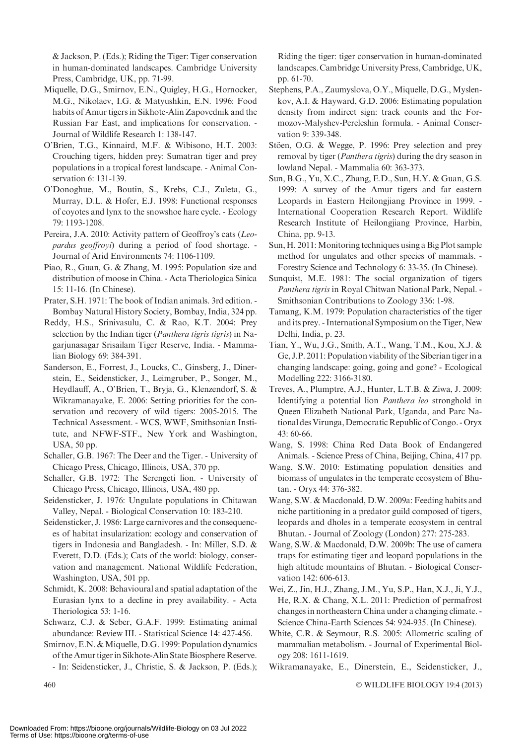& Jackson, P. (Eds.); Riding the Tiger: Tiger conservation in human-dominated landscapes. Cambridge University Press, Cambridge, UK, pp. 71-99.

- Miquelle, D.G., Smirnov, E.N., Quigley, H.G., Hornocker, M.G., Nikolaev, I.G. & Matyushkin, E.N. 1996: Food habits of Amur tigers in Sikhote-Alin Zapovednik and the Russian Far East, and implications for conservation. - Journal of Wildlife Research 1: 138-147.
- O'Brien, T.G., Kinnaird, M.F. & Wibisono, H.T. 2003: Crouching tigers, hidden prey: Sumatran tiger and prey populations in a tropical forest landscape. - Animal Conservation 6: 131-139.
- O'Donoghue, M., Boutin, S., Krebs, C.J., Zuleta, G., Murray, D.L. & Hofer, E.J. 1998: Functional responses of coyotes and lynx to the snowshoe hare cycle. - Ecology 79: 1193-1208.
- Pereira, J.A. 2010: Activity pattern of Geoffroy's cats (Leopardus geoffroyi) during a period of food shortage. - Journal of Arid Environments 74: 1106-1109.
- Piao, R., Guan, G. & Zhang, M. 1995: Population size and distribution of moose in China. - Acta Theriologica Sinica 15: 11-16. (In Chinese).
- Prater, S.H. 1971: The book of Indian animals. 3rd edition. Bombay Natural History Society, Bombay, India, 324 pp.
- Reddy, H.S., Srinivasulu, C. & Rao, K.T. 2004: Prey selection by the Indian tiger (Panthera tigris tigris) in Nagarjunasagar Srisailam Tiger Reserve, India. - Mammalian Biology 69: 384-391.
- Sanderson, E., Forrest, J., Loucks, C., Ginsberg, J., Dinerstein, E., Seidensticker, J., Leimgruber, P., Songer, M., Heydlauff, A., O'Brien, T., Bryja, G., Klenzendorf, S. & Wikramanayake, E. 2006: Setting priorities for the conservation and recovery of wild tigers: 2005-2015. The Technical Assessment. - WCS, WWF, Smithsonian Institute, and NFWF-STF., New York and Washington, USA, 50 pp.
- Schaller, G.B. 1967: The Deer and the Tiger. University of Chicago Press, Chicago, Illinois, USA, 370 pp.
- Schaller, G.B. 1972: The Serengeti lion. University of Chicago Press, Chicago, Illinois, USA, 480 pp.
- Seidensticker, J. 1976: Ungulate populations in Chitawan Valley, Nepal. - Biological Conservation 10: 183-210.
- Seidensticker, J. 1986: Large carnivores and the consequences of habitat insularization: ecology and conservation of tigers in Indonesia and Bangladesh. - In: Miller, S.D. & Everett, D.D. (Eds.); Cats of the world: biology, conservation and management. National Wildlife Federation, Washington, USA, 501 pp.
- Schmidt, K. 2008: Behavioural and spatial adaptation of the Eurasian lynx to a decline in prey availability. - Acta Theriologica 53: 1-16.
- Schwarz, C.J. & Seber, G.A.F. 1999: Estimating animal abundance: Review III. - Statistical Science 14: 427-456.
- Smirnov, E.N. & Miquelle, D.G. 1999: Population dynamics of the Amur tiger in Sikhote-Alin State Biosphere Reserve.
- In: Seidensticker, J., Christie, S. & Jackson, P. (Eds.);

Riding the tiger: tiger conservation in human-dominated landscapes. Cambridge University Press, Cambridge, UK, pp. 61-70.

- Stephens, P.A., Zaumyslova, O.Y., Miquelle, D.G., Myslenkov, A.I. & Hayward, G.D. 2006: Estimating population density from indirect sign: track counts and the Formozov-Malyshev-Pereleshin formula. - Animal Conservation 9: 339-348.
- Stöen, O.G. & Wegge, P. 1996: Prey selection and prey removal by tiger (*Panthera tigris*) during the dry season in lowland Nepal. - Mammalia 60: 363-373.
- Sun, B.G., Yu, X.C., Zhang, E.D., Sun, H.Y. & Guan, G.S. 1999: A survey of the Amur tigers and far eastern Leopards in Eastern Heilongjiang Province in 1999. - International Cooperation Research Report. Wildlife Research Institute of Heilongjiang Province, Harbin, China, pp. 9-13.
- Sun, H. 2011: Monitoring techniques using a Big Plot sample method for ungulates and other species of mammals. - Forestry Science and Technology 6: 33-35. (In Chinese).
- Sunquist, M.E. 1981: The social organization of tigers Panthera tigris in Royal Chitwan National Park, Nepal. - Smithsonian Contributions to Zoology 336: 1-98.
- Tamang, K.M. 1979: Population characteristics of the tiger and its prey. - International Symposium on the Tiger, New Delhi, India, p. 23.
- Tian, Y., Wu, J.G., Smith, A.T., Wang, T.M., Kou, X.J. & Ge, J.P. 2011: Population viability of the Siberian tiger in a changing landscape: going, going and gone? - Ecological Modelling 222: 3166-3180.
- Treves, A., Plumptre, A.J., Hunter, L.T.B. & Ziwa, J. 2009: Identifying a potential lion Panthera leo stronghold in Queen Elizabeth National Park, Uganda, and Parc National des Virunga, Democratic Republic of Congo. - Oryx 43: 60-66.
- Wang, S. 1998: China Red Data Book of Endangered Animals. - Science Press of China, Beijing, China, 417 pp.
- Wang, S.W. 2010: Estimating population densities and biomass of ungulates in the temperate ecosystem of Bhutan. - Oryx 44: 376-382.
- Wang, S.W. & Macdonald, D.W. 2009a: Feeding habits and niche partitioning in a predator guild composed of tigers, leopards and dholes in a temperate ecosystem in central Bhutan. - Journal of Zoology (London) 277: 275-283.
- Wang, S.W. & Macdonald, D.W. 2009b: The use of camera traps for estimating tiger and leopard populations in the high altitude mountains of Bhutan. - Biological Conservation 142: 606-613.
- Wei, Z., Jin, H.J., Zhang, J.M., Yu, S.P., Han, X.J., Ji, Y.J., He, R.X. & Chang, X.L. 2011: Prediction of permafrost changes in northeastern China under a changing climate. - Science China-Earth Sciences 54: 924-935. (In Chinese).
- White, C.R. & Seymour, R.S. 2005: Allometric scaling of mammalian metabolism. - Journal of Experimental Biology 208: 1611-1619.
- Wikramanayake, E., Dinerstein, E., Seidensticker, J.,

WILDLIFE BIOLOGY 19:4 (2013)

 $460$   $\circ$